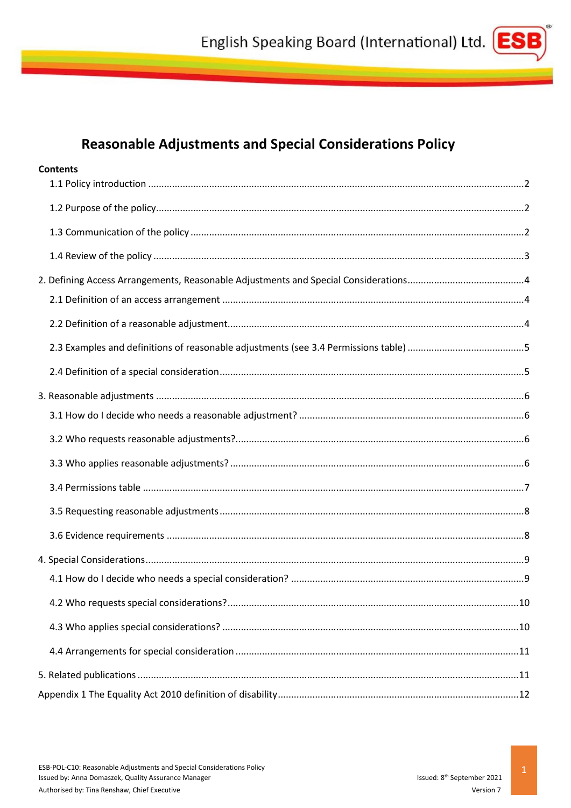

# **Reasonable Adjustments and Special Considerations Policy**

| <b>Contents</b> |  |
|-----------------|--|
|                 |  |
|                 |  |
|                 |  |
|                 |  |
|                 |  |
|                 |  |
|                 |  |
|                 |  |
|                 |  |
|                 |  |
|                 |  |
|                 |  |
|                 |  |
|                 |  |
|                 |  |
|                 |  |
|                 |  |
|                 |  |
|                 |  |
|                 |  |
|                 |  |
|                 |  |
|                 |  |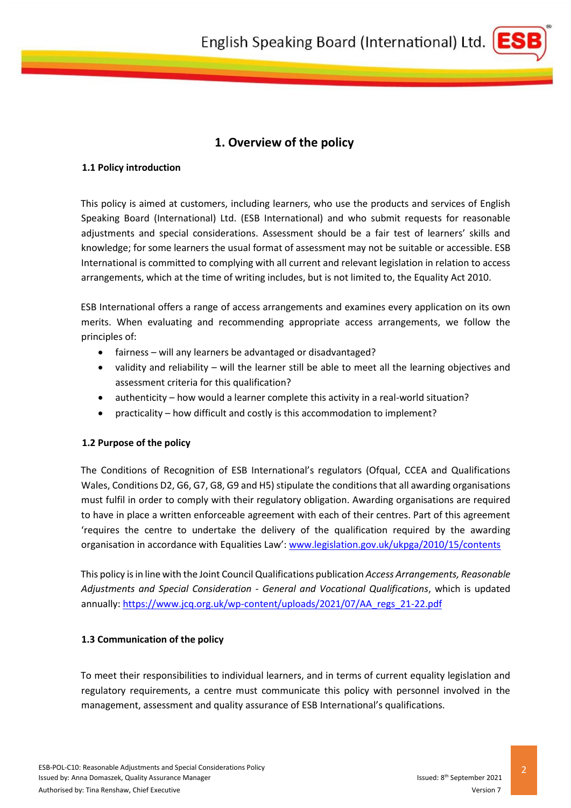

## **1. Overview of the policy**

#### <span id="page-1-0"></span>**1.1 Policy introduction**

This policy is aimed at customers, including learners, who use the products and services of English Speaking Board (International) Ltd. (ESB International) and who submit requests for reasonable adjustments and special considerations. Assessment should be a fair test of learners' skills and knowledge; for some learners the usual format of assessment may not be suitable or accessible. ESB International is committed to complying with all current and relevant legislation in relation to access arrangements, which at the time of writing includes, but is not limited to, the Equality Act 2010.

ESB International offers a range of access arrangements and examines every application on its own merits. When evaluating and recommending appropriate access arrangements, we follow the principles of:

- fairness will any learners be advantaged or disadvantaged?
- validity and reliability will the learner still be able to meet all the learning objectives and assessment criteria for this qualification?
- authenticity how would a learner complete this activity in a real-world situation?
- practicality how difficult and costly is this accommodation to implement?

#### <span id="page-1-1"></span>**1.2 Purpose of the policy**

The Conditions of Recognition of ESB International's regulators (Ofqual, CCEA and Qualifications Wales, Conditions D2, G6, G7, G8, G9 and H5) stipulate the conditions that all awarding organisations must fulfil in order to comply with their regulatory obligation. Awarding organisations are required to have in place a written enforceable agreement with each of their centres. Part of this agreement 'requires the centre to undertake the delivery of the qualification required by the awarding organisation in accordance with Equalities Law': [www.legislation.gov.uk/ukpga/2010/15/contents](http://www.legislation.gov.uk/ukpga/2010/15/contents)

This policy is in line with the Joint Council Qualifications publication *Access Arrangements, Reasonable Adjustments and Special Consideration - General and Vocational Qualifications*, which is updated annually: [https://www.jcq.org.uk/wp-content/uploads/2021/07/AA\\_regs\\_21-22.pdf](https://www.jcq.org.uk/wp-content/uploads/2021/07/AA_regs_21-22.pdf)

#### <span id="page-1-2"></span>**1.3 Communication of the policy**

To meet their responsibilities to individual learners, and in terms of current equality legislation and regulatory requirements, a centre must communicate this policy with personnel involved in the management, assessment and quality assurance of ESB International's qualifications.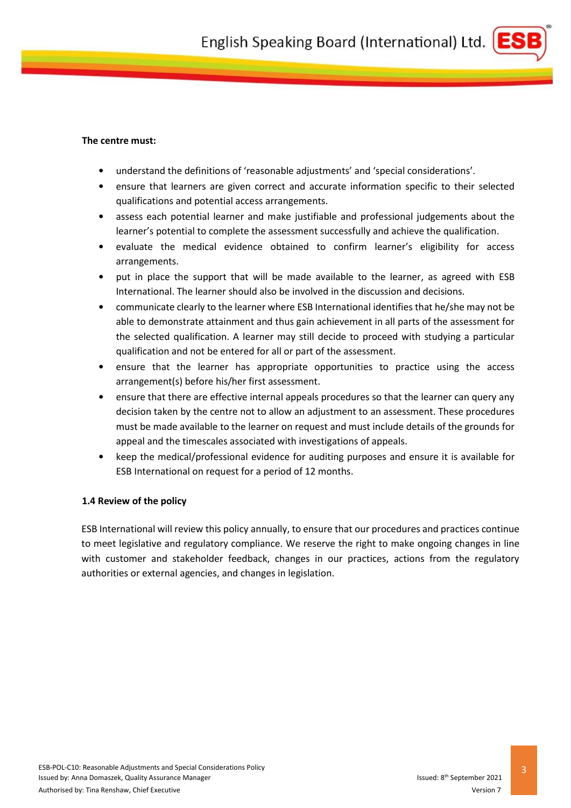

#### **The centre must:**

- understand the definitions of 'reasonable adjustments' and 'special considerations'.
- ensure that learners are given correct and accurate information specific to their selected qualifications and potential access arrangements.
- assess each potential learner and make justifiable and professional judgements about the learner's potential to complete the assessment successfully and achieve the qualification.
- evaluate the medical evidence obtained to confirm learner's eligibility for access arrangements.
- put in place the support that will be made available to the learner, as agreed with ESB International. The learner should also be involved in the discussion and decisions.
- communicate clearly to the learner where ESB International identifies that he/she may not be able to demonstrate attainment and thus gain achievement in all parts of the assessment for the selected qualification. A learner may still decide to proceed with studying a particular qualification and not be entered for all or part of the assessment.
- ensure that the learner has appropriate opportunities to practice using the access arrangement(s) before his/her first assessment.
- ensure that there are effective internal appeals procedures so that the learner can query any decision taken by the centre not to allow an adjustment to an assessment. These procedures must be made available to the learner on request and must include details of the grounds for appeal and the timescales associated with investigations of appeals.
- keep the medical/professional evidence for auditing purposes and ensure it is available for ESB International on request for a period of 12 months.

#### <span id="page-2-0"></span>**1.4 Review of the policy**

ESB International will review this policy annually, to ensure that our procedures and practices continue to meet legislative and regulatory compliance. We reserve the right to make ongoing changes in line with customer and stakeholder feedback, changes in our practices, actions from the regulatory authorities or external agencies, and changes in legislation.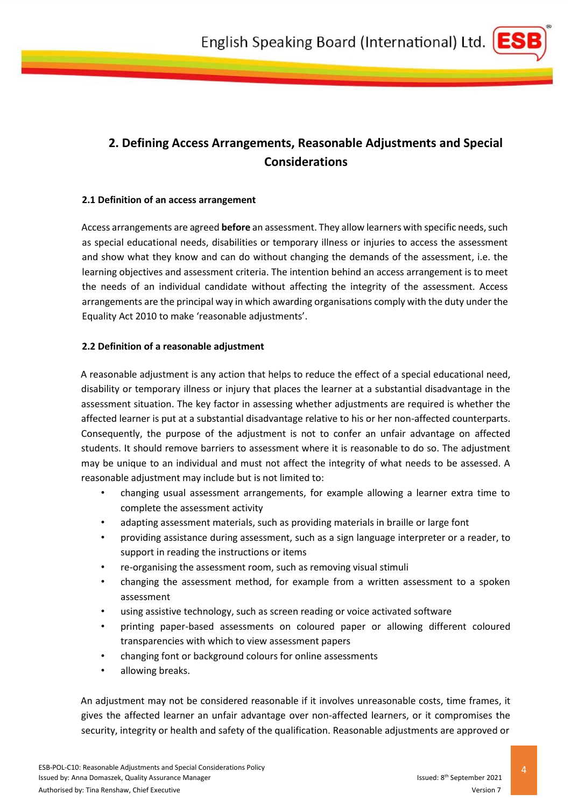

# <span id="page-3-0"></span>**2. Defining Access Arrangements, Reasonable Adjustments and Special Considerations**

#### <span id="page-3-1"></span>**2.1 Definition of an access arrangement**

Access arrangements are agreed **before** an assessment. They allow learners with specific needs, such as special educational needs, disabilities or temporary illness or injuries to access the assessment and show what they know and can do without changing the demands of the assessment, i.e. the learning objectives and assessment criteria. The intention behind an access arrangement is to meet the needs of an individual candidate without affecting the integrity of the assessment. Access arrangements are the principal way in which awarding organisations comply with the duty under the Equality Act 2010 to make 'reasonable adjustments'.

#### <span id="page-3-2"></span>**2.2 Definition of a reasonable adjustment**

A reasonable adjustment is any action that helps to reduce the effect of a special educational need, disability or temporary illness or injury that places the learner at a substantial disadvantage in the assessment situation. The key factor in assessing whether adjustments are required is whether the affected learner is put at a substantial disadvantage relative to his or her non-affected counterparts. Consequently, the purpose of the adjustment is not to confer an unfair advantage on affected students. It should remove barriers to assessment where it is reasonable to do so. The adjustment may be unique to an individual and must not affect the integrity of what needs to be assessed. A reasonable adjustment may include but is not limited to:

- changing usual assessment arrangements, for example allowing a learner extra time to complete the assessment activity
- adapting assessment materials, such as providing materials in braille or large font
- providing assistance during assessment, such as a sign language interpreter or a reader, to support in reading the instructions or items
- re-organising the assessment room, such as removing visual stimuli
- changing the assessment method, for example from a written assessment to a spoken assessment
- using assistive technology, such as screen reading or voice activated software
- printing paper-based assessments on coloured paper or allowing different coloured transparencies with which to view assessment papers
- changing font or background colours for online assessments
- allowing breaks.

An adjustment may not be considered reasonable if it involves unreasonable costs, time frames, it gives the affected learner an unfair advantage over non-affected learners, or it compromises the security, integrity or health and safety of the qualification. Reasonable adjustments are approved or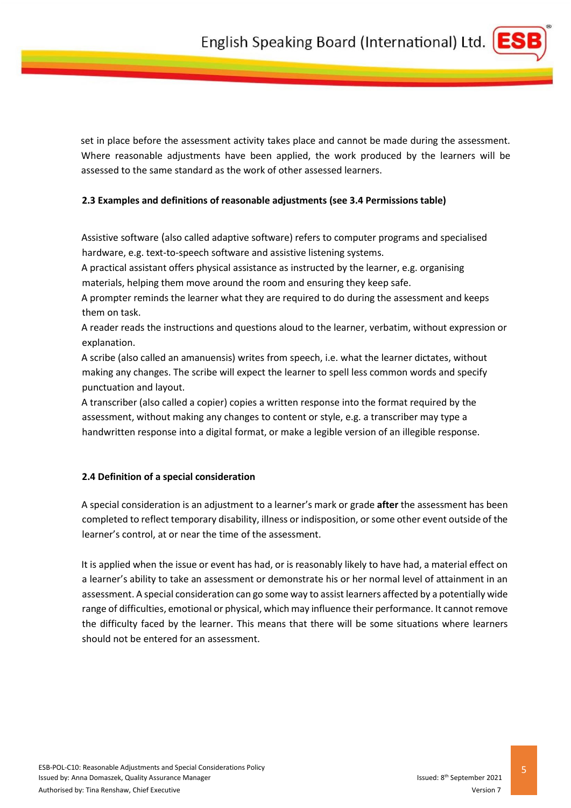

set in place before the assessment activity takes place and cannot be made during the assessment. Where reasonable adjustments have been applied, the work produced by the learners will be assessed to the same standard as the work of other assessed learners.

#### <span id="page-4-0"></span>**2.3 Examples and definitions of reasonable adjustments (see 3.4 Permissions table)**

Assistive software (also called adaptive software) refers to computer programs and specialised hardware, e.g. text-to-speech software and assistive listening systems.

A practical assistant offers physical assistance as instructed by the learner, e.g. organising materials, helping them move around the room and ensuring they keep safe.

A prompter reminds the learner what they are required to do during the assessment and keeps them on task.

A reader reads the instructions and questions aloud to the learner, verbatim, without expression or explanation.

A scribe (also called an amanuensis) writes from speech, i.e. what the learner dictates, without making any changes. The scribe will expect the learner to spell less common words and specify punctuation and layout.

A transcriber (also called a copier) copies a written response into the format required by the assessment, without making any changes to content or style, e.g. a transcriber may type a handwritten response into a digital format, or make a legible version of an illegible response.

#### <span id="page-4-1"></span>**2.4 Definition of a special consideration**

A special consideration is an adjustment to a learner's mark or grade **after** the assessment has been completed to reflect temporary disability, illness or indisposition, or some other event outside of the learner's control, at or near the time of the assessment.

It is applied when the issue or event has had, or is reasonably likely to have had, a material effect on a learner's ability to take an assessment or demonstrate his or her normal level of attainment in an assessment. A special consideration can go some way to assist learners affected by a potentially wide range of difficulties, emotional or physical, which may influence their performance. It cannot remove the difficulty faced by the learner. This means that there will be some situations where learners should not be entered for an assessment.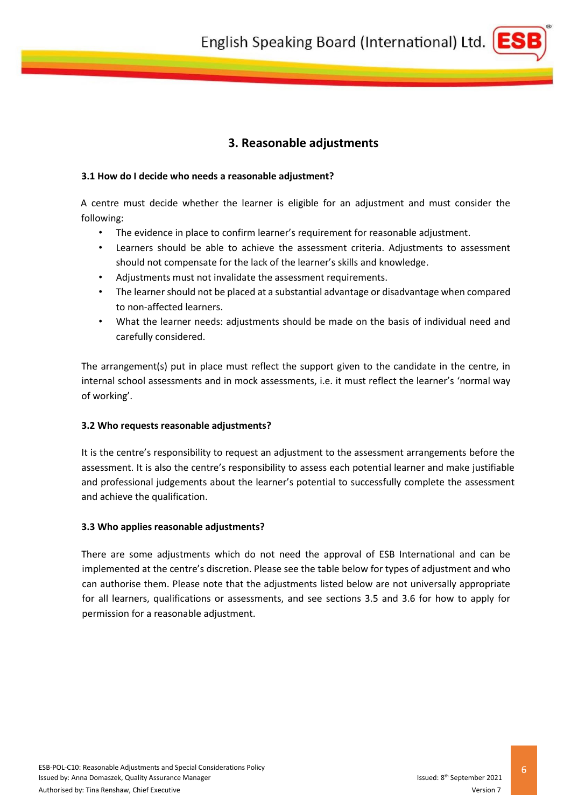

# **3. Reasonable adjustments**

#### <span id="page-5-1"></span><span id="page-5-0"></span>**3.1 How do I decide who needs a reasonable adjustment?**

A centre must decide whether the learner is eligible for an adjustment and must consider the following:

- The evidence in place to confirm learner's requirement for reasonable adjustment.
- Learners should be able to achieve the assessment criteria. Adjustments to assessment should not compensate for the lack of the learner's skills and knowledge.
- Adjustments must not invalidate the assessment requirements.
- The learner should not be placed at a substantial advantage or disadvantage when compared to non-affected learners.
- What the learner needs: adjustments should be made on the basis of individual need and carefully considered.

The arrangement(s) put in place must reflect the support given to the candidate in the centre, in internal school assessments and in mock assessments, i.e. it must reflect the learner's 'normal way of working'.

#### <span id="page-5-2"></span>**3.2 Who requests reasonable adjustments?**

It is the centre's responsibility to request an adjustment to the assessment arrangements before the assessment. It is also the centre's responsibility to assess each potential learner and make justifiable and professional judgements about the learner's potential to successfully complete the assessment and achieve the qualification.

#### <span id="page-5-3"></span>**3.3 Who applies reasonable adjustments?**

There are some adjustments which do not need the approval of ESB International and can be implemented at the centre's discretion. Please see the table below for types of adjustment and who can authorise them. Please note that the adjustments listed below are not universally appropriate for all learners, qualifications or assessments, and see sections 3.5 and 3.6 for how to apply for permission for a reasonable adjustment.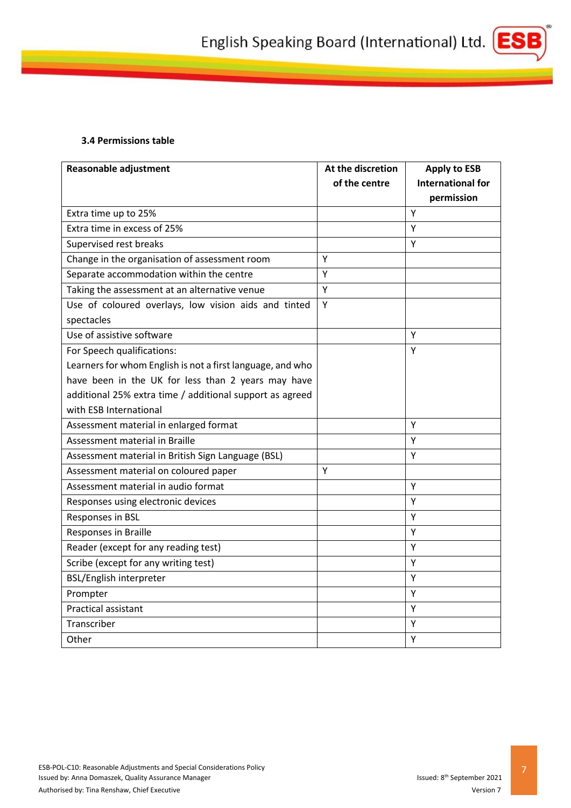

#### **3.4 Permissions table**

<span id="page-6-0"></span>

| <b>Reasonable adjustment</b>                               | At the discretion | <b>Apply to ESB</b>      |
|------------------------------------------------------------|-------------------|--------------------------|
|                                                            | of the centre     | <b>International for</b> |
|                                                            |                   | permission               |
| Extra time up to 25%                                       |                   | Y                        |
| Extra time in excess of 25%                                |                   | Y                        |
| Supervised rest breaks                                     |                   | Y                        |
| Change in the organisation of assessment room              | Y                 |                          |
| Separate accommodation within the centre                   | Υ                 |                          |
| Taking the assessment at an alternative venue              | Y                 |                          |
| Use of coloured overlays, low vision aids and tinted       | Υ                 |                          |
| spectacles                                                 |                   |                          |
| Use of assistive software                                  |                   | Y                        |
| For Speech qualifications:                                 |                   | Y                        |
| Learners for whom English is not a first language, and who |                   |                          |
| have been in the UK for less than 2 years may have         |                   |                          |
| additional 25% extra time / additional support as agreed   |                   |                          |
| with ESB International                                     |                   |                          |
| Assessment material in enlarged format                     |                   | Υ                        |
| Assessment material in Braille                             |                   | Y                        |
| Assessment material in British Sign Language (BSL)         |                   | Υ                        |
| Assessment material on coloured paper                      | Y                 |                          |
| Assessment material in audio format                        |                   | Y                        |
| Responses using electronic devices                         |                   | Y                        |
| Responses in BSL                                           |                   | Y                        |
| Responses in Braille                                       |                   | Y                        |
| Reader (except for any reading test)                       |                   | Υ                        |
| Scribe (except for any writing test)                       |                   | Y                        |
| <b>BSL/English interpreter</b>                             |                   | Υ                        |
| Prompter                                                   |                   | Y                        |
| Practical assistant                                        |                   | Y                        |
| Transcriber                                                |                   | Y                        |
| Other                                                      |                   | Υ                        |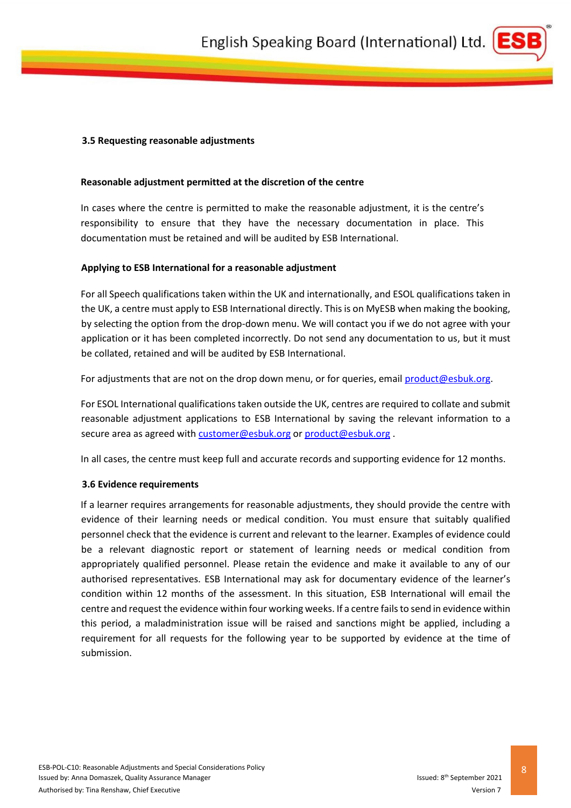

#### <span id="page-7-0"></span>**3.5 Requesting reasonable adjustments**

#### **Reasonable adjustment permitted at the discretion of the centre**

In cases where the centre is permitted to make the reasonable adjustment, it is the centre's responsibility to ensure that they have the necessary documentation in place. This documentation must be retained and will be audited by ESB International.

#### **Applying to ESB International for a reasonable adjustment**

For all Speech qualifications taken within the UK and internationally, and ESOL qualifications taken in the UK, a centre must apply to ESB International directly. This is on MyESB when making the booking, by selecting the option from the drop-down menu. We will contact you if we do not agree with your application or it has been completed incorrectly. Do not send any documentation to us, but it must be collated, retained and will be audited by ESB International.

For adjustments that are not on the drop down menu, or for queries, email [product@esbuk.org.](mailto:product@esbuk.org)

For ESOL International qualifications taken outside the UK, centres are required to collate and submit reasonable adjustment applications to ESB International by saving the relevant information to a secure area as agreed with [customer@esbuk.org](mailto:customer@esbuk.org) o[r product@esbuk.org](mailto:product@esbuk.org) .

In all cases, the centre must keep full and accurate records and supporting evidence for 12 months.

#### <span id="page-7-1"></span>**3.6 Evidence requirements**

If a learner requires arrangements for reasonable adjustments, they should provide the centre with evidence of their learning needs or medical condition. You must ensure that suitably qualified personnel check that the evidence is current and relevant to the learner. Examples of evidence could be a relevant diagnostic report or statement of learning needs or medical condition from appropriately qualified personnel. Please retain the evidence and make it available to any of our authorised representatives. ESB International may ask for documentary evidence of the learner's condition within 12 months of the assessment. In this situation, ESB International will email the centre and request the evidence within four working weeks. If a centre fails to send in evidence within this period, a maladministration issue will be raised and sanctions might be applied, including a requirement for all requests for the following year to be supported by evidence at the time of submission.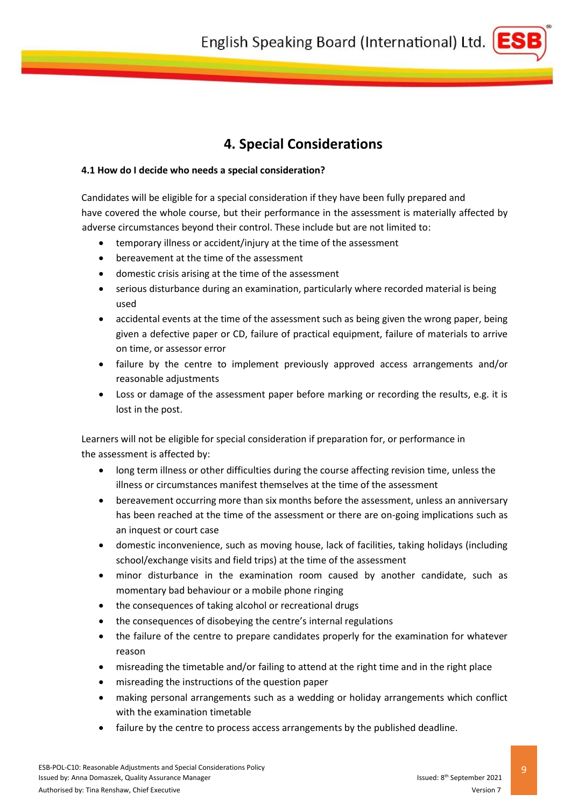

# **4. Special Considerations**

#### <span id="page-8-1"></span><span id="page-8-0"></span>**4.1 How do I decide who needs a special consideration?**

Candidates will be eligible for a special consideration if they have been fully prepared and have covered the whole course, but their performance in the assessment is materially affected by adverse circumstances beyond their control. These include but are not limited to:

- temporary illness or accident/injury at the time of the assessment
- bereavement at the time of the assessment
- domestic crisis arising at the time of the assessment
- serious disturbance during an examination, particularly where recorded material is being used
- accidental events at the time of the assessment such as being given the wrong paper, being given a defective paper or CD, failure of practical equipment, failure of materials to arrive on time, or assessor error
- failure by the centre to implement previously approved access arrangements and/or reasonable adjustments
- Loss or damage of the assessment paper before marking or recording the results, e.g. it is lost in the post.

Learners will not be eligible for special consideration if preparation for, or performance in the assessment is affected by:

- long term illness or other difficulties during the course affecting revision time, unless the illness or circumstances manifest themselves at the time of the assessment
- bereavement occurring more than six months before the assessment, unless an anniversary has been reached at the time of the assessment or there are on-going implications such as an inquest or court case
- domestic inconvenience, such as moving house, lack of facilities, taking holidays (including school/exchange visits and field trips) at the time of the assessment
- minor disturbance in the examination room caused by another candidate, such as momentary bad behaviour or a mobile phone ringing
- the consequences of taking alcohol or recreational drugs
- the consequences of disobeying the centre's internal regulations
- the failure of the centre to prepare candidates properly for the examination for whatever reason
- misreading the timetable and/or failing to attend at the right time and in the right place
- misreading the instructions of the question paper
- making personal arrangements such as a wedding or holiday arrangements which conflict with the examination timetable
- failure by the centre to process access arrangements by the published deadline.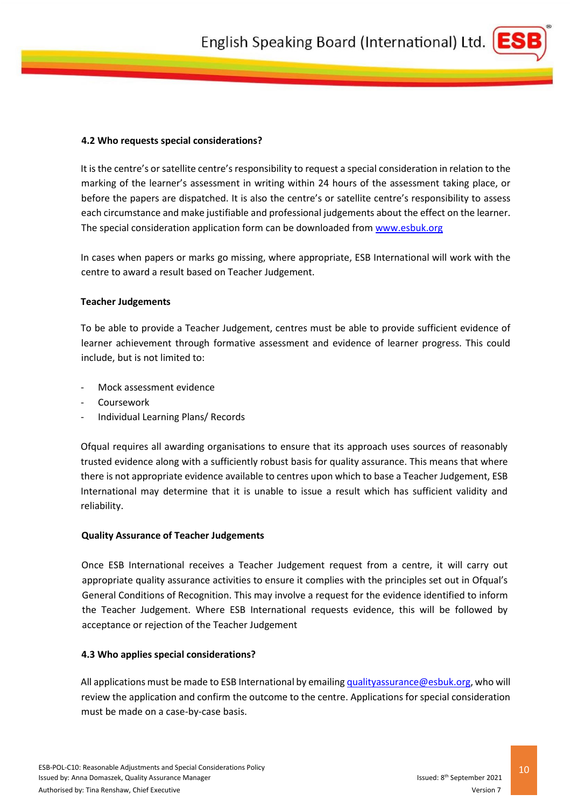

## <span id="page-9-0"></span>**4.2 Who requests special considerations?**

It is the centre's or satellite centre's responsibility to request a special consideration in relation to the marking of the learner's assessment in writing within 24 hours of the assessment taking place, or before the papers are dispatched. It is also the centre's or satellite centre's responsibility to assess each circumstance and make justifiable and professional judgements about the effect on the learner. The special consideration application form can be downloaded fro[m www.esbuk.org](http://www.esbuk.org/)

In cases when papers or marks go missing, where appropriate, ESB International will work with the centre to award a result based on Teacher Judgement.

## **Teacher Judgements**

To be able to provide a Teacher Judgement, centres must be able to provide sufficient evidence of learner achievement through formative assessment and evidence of learner progress. This could include, but is not limited to:

- Mock assessment evidence
- Coursework
- Individual Learning Plans/ Records

Ofqual requires all awarding organisations to ensure that its approach uses sources of reasonably trusted evidence along with a sufficiently robust basis for quality assurance. This means that where there is not appropriate evidence available to centres upon which to base a Teacher Judgement, ESB International may determine that it is unable to issue a result which has sufficient validity and reliability.

### **Quality Assurance of Teacher Judgements**

Once ESB International receives a Teacher Judgement request from a centre, it will carry out appropriate quality assurance activities to ensure it complies with the principles set out in Ofqual's General Conditions of Recognition. This may involve a request for the evidence identified to inform the Teacher Judgement. Where ESB International requests evidence, this will be followed by acceptance or rejection of the Teacher Judgement

## <span id="page-9-1"></span>**4.3 Who applies special considerations?**

All applications must be made to ESB International by emailin[g qualityassurance@esbuk.org,](mailto:qualityassurance@esbuk.org) who will review the application and confirm the outcome to the centre. Applications for special consideration must be made on a case-by-case basis.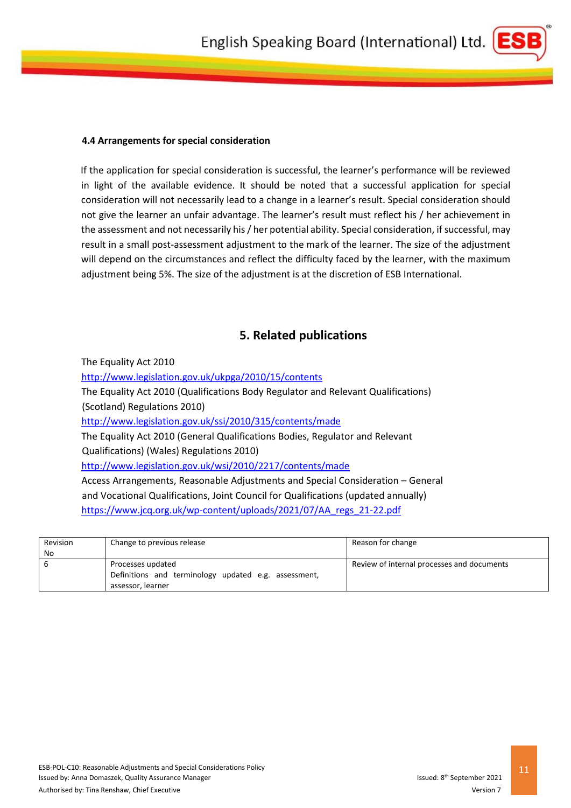

#### <span id="page-10-0"></span>**4.4 Arrangements for special consideration**

If the application for special consideration is successful, the learner's performance will be reviewed in light of the available evidence. It should be noted that a successful application for special consideration will not necessarily lead to a change in a learner's result. Special consideration should not give the learner an unfair advantage. The learner's result must reflect his / her achievement in the assessment and not necessarily his / her potential ability. Special consideration, if successful, may result in a small post-assessment adjustment to the mark of the learner. The size of the adjustment will depend on the circumstances and reflect the difficulty faced by the learner, with the maximum adjustment being 5%. The size of the adjustment is at the discretion of ESB International.

### **5. Related publications**

<span id="page-10-1"></span>The Equality Act 2010 <http://www.legislation.gov.uk/ukpga/2010/15/contents> [The Equality Act 2010 \(Qualifications Body Regulat](http://www.legislation.gov.uk/wsi/2010/2217/content)or and Relevant Qualifications) (Scotland) Regulations 2010) <http://www.legislation.gov.uk/ssi/2010/315/contents/made> [The Equality Act 2010 \(General Qualifications Bodies, Regulato](http://www.legislation.gov.uk/ssi/2010/315/contents/made)r and Relevant Qualifications) (Wales) Regulations 2010) <http://www.legislation.gov.uk/wsi/2010/2217/contents/made> [Access Arrangements, Reasonable Adjustments and Speci](http://www.legislation.gov.uk/wsi/2010/2217/contents/made)al Consideration – General and Vocational Qualifications, Joint Council for Qualifications (updated annually) [https://www.jcq.org.uk/wp-content/uploads/2021/07/AA\\_regs\\_21-22.pdf](https://www.jcq.org.uk/wp-content/uploads/2021/07/AA_regs_21-22.pdf)

| Revision<br>No | Change to previous release                                                                     | Reason for change                          |
|----------------|------------------------------------------------------------------------------------------------|--------------------------------------------|
| -6             | Processes updated<br>Definitions and terminology updated e.g. assessment,<br>assessor, learner | Review of internal processes and documents |